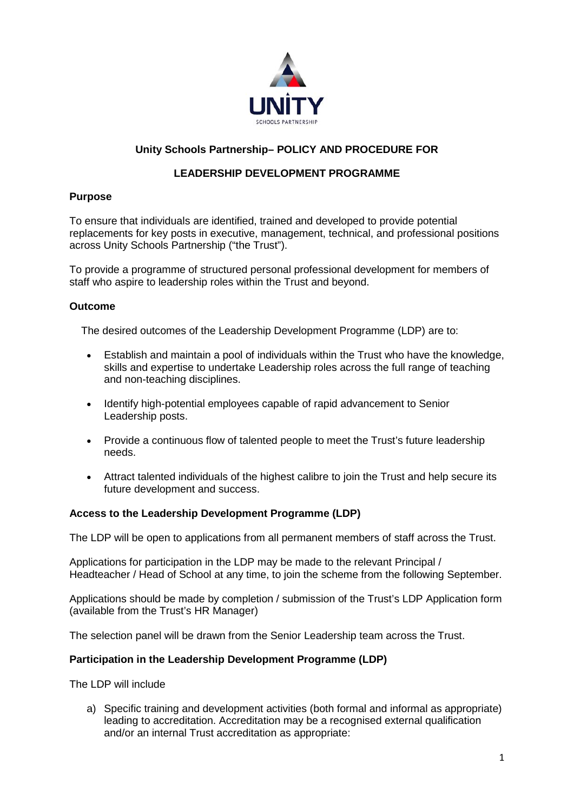

# **Unity Schools Partnership– POLICY AND PROCEDURE FOR**

## **LEADERSHIP DEVELOPMENT PROGRAMME**

#### **Purpose**

To ensure that individuals are identified, trained and developed to provide potential replacements for key posts in executive, management, technical, and professional positions across Unity Schools Partnership ("the Trust").

To provide a programme of structured personal professional development for members of staff who aspire to leadership roles within the Trust and beyond.

#### **Outcome**

The desired outcomes of the Leadership Development Programme (LDP) are to:

- Establish and maintain a pool of individuals within the Trust who have the knowledge, skills and expertise to undertake Leadership roles across the full range of teaching and non-teaching disciplines.
- Identify high-potential employees capable of rapid advancement to Senior Leadership posts.
- Provide a continuous flow of talented people to meet the Trust's future leadership needs.
- Attract talented individuals of the highest calibre to join the Trust and help secure its future development and success.

#### **Access to the Leadership Development Programme (LDP)**

The LDP will be open to applications from all permanent members of staff across the Trust.

Applications for participation in the LDP may be made to the relevant Principal / Headteacher / Head of School at any time, to join the scheme from the following September.

Applications should be made by completion / submission of the Trust's LDP Application form (available from the Trust's HR Manager)

The selection panel will be drawn from the Senior Leadership team across the Trust.

#### **Participation in the Leadership Development Programme (LDP)**

The LDP will include

a) Specific training and development activities (both formal and informal as appropriate) leading to accreditation. Accreditation may be a recognised external qualification and/or an internal Trust accreditation as appropriate: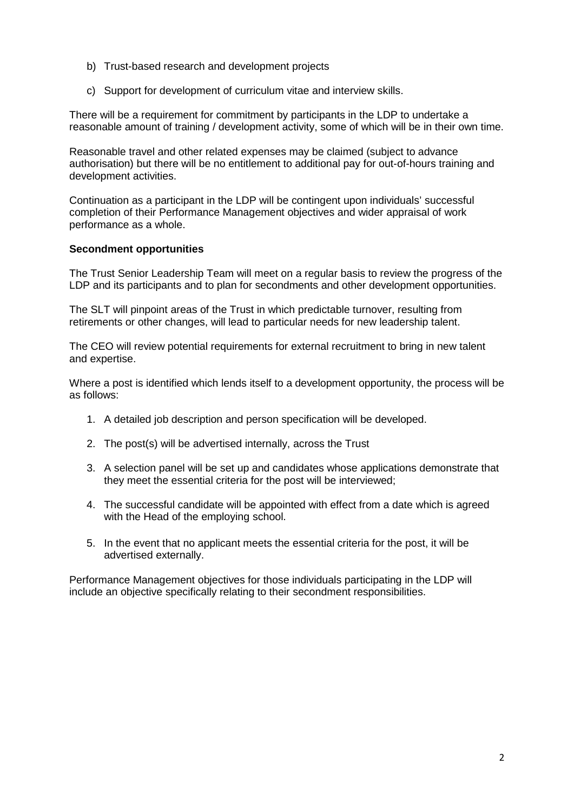- b) Trust-based research and development projects
- c) Support for development of curriculum vitae and interview skills.

There will be a requirement for commitment by participants in the LDP to undertake a reasonable amount of training / development activity, some of which will be in their own time.

Reasonable travel and other related expenses may be claimed (subject to advance authorisation) but there will be no entitlement to additional pay for out-of-hours training and development activities.

Continuation as a participant in the LDP will be contingent upon individuals' successful completion of their Performance Management objectives and wider appraisal of work performance as a whole.

#### **Secondment opportunities**

The Trust Senior Leadership Team will meet on a regular basis to review the progress of the LDP and its participants and to plan for secondments and other development opportunities.

The SLT will pinpoint areas of the Trust in which predictable turnover, resulting from retirements or other changes, will lead to particular needs for new leadership talent.

The CEO will review potential requirements for external recruitment to bring in new talent and expertise.

Where a post is identified which lends itself to a development opportunity, the process will be as follows:

- 1. A detailed job description and person specification will be developed.
- 2. The post(s) will be advertised internally, across the Trust
- 3. A selection panel will be set up and candidates whose applications demonstrate that they meet the essential criteria for the post will be interviewed;
- 4. The successful candidate will be appointed with effect from a date which is agreed with the Head of the employing school.
- 5. In the event that no applicant meets the essential criteria for the post, it will be advertised externally.

Performance Management objectives for those individuals participating in the LDP will include an objective specifically relating to their secondment responsibilities.